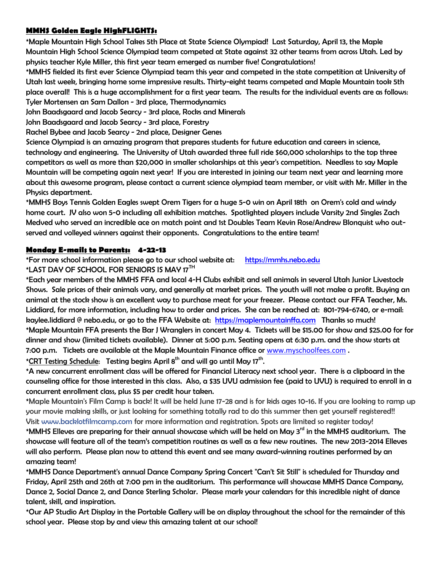## **MMHS Golden Eagle HighFLIGHTS:**

\*Maple Mountain High School Takes 5th Place at State Science Olympiad! Last Saturday, April 13, the Maple Mountain High School Science Olympiad team competed at State against 32 other teams from across Utah. Led by physics teacher Kyle Miller, this first year team emerged as number five! Congratulations!

\*MMHS fielded its first ever Science Olympiad team this year and competed in the state competition at University of Utah last week, bringing home some impressive results. Thirty-eight teams competed and Maple Mountain took 5th place overall! This is a huge accomplishment for a first year team. The results for the individual events are as follows: Tyler Mortensen an Sam Dallon - 3rd place, Thermodynamics

John Baadsgaard and Jacob Searcy - 3rd place, Rocks and Minerals

John Baadsgaard and Jacob Searcy - 3rd place, Forestry

Rachel Bybee and Jacob Searcy - 2nd place, Designer Genes

Science Olympiad is an amazing program that prepares students for future education and careers in science, technology and engineering. The University of Utah awarded three full ride \$60,000 scholarships to the top three competitors as well as more than \$20,000 in smaller scholarships at this year's competition. Needless to say Maple Mountain will be competing again next year! If you are interested in joining our team next year and learning more about this awesome program, please contact a current science olympiad team member, or visit with Mr. Miller in the Physics department.

\*MMHS Boys Tennis Golden Eagles swept Orem Tigers for a huge 5-0 win on April 18th on Orem's cold and windy home court. JV also won 5-0 including all exhibition matches. Spotlighted players include Varsity 2nd Singles Zach Medved who served an incredible ace on match point and 1st Doubles Team Kevin Rose/Andrew Blonquist who outserved and volleyed winners against their opponents. Congratulations to the entire team!

## **Monday E-mails to Parents: 4-22-13**

\*For more school information please go to our school website at: [https://mmhs.nebo.edu](https://mmhs.nebo.edu/) \*LAST DAY OF SCHOOL FOR SENIORS IS MAY 17<sup>TH</sup>

\*Each year members of the MMHS FFA and local 4-H Clubs exhibit and sell animals in several Utah Junior Livestock Shows. Sale prices of their animals vary, and generally at market prices. The youth will not make a profit. Buying an animal at the stock show is an excellent way to purchase meat for your freezer. Please contact our FFA Teacher, Ms. Liddiard, for more information, including how to order and prices. She can be reached at: 801-794-6740, or e-mail: kaylee.liddiard @ nebo.edu, or go to the FFA Website at: [https://maplemountainffa.com](https://maplemountainffa.com/) Thanks so much! \*Maple Mountain FFA presents the Bar J Wranglers in concert May 4. Tickets will be \$15.00 for show and \$25.00 for for dinner and show (limited tickets available). Dinner at 5:00 p.m. Seating opens at 6:30 p.m. and the show starts at 7:00 p.m. Tickets are available at the Maple Mountain Finance office or [www.myschoolfees.com](http://www.myschoolfees.com/) .

\*<u>CRT Testing Schedule</u>: Testing begins April 8<sup>th</sup> and will go until May 17<sup>th</sup>.

\*A new concurrent enrollment class will be offered for Financial Literacy next school year. There is a clipboard in the counseling office for those interested in this class. Also, a \$35 UVU admission fee (paid to UVU) is required to enroll in a concurrent enrollment class, plus \$5 per credit hour taken.

\*Maple Mountain's Film Camp is back! It will be held June 17-28 and is for kids ages 10-16. If you are looking to ramp up your movie making skills, or just looking for something totally rad to do this summer then get yourself registered!! Visit [www.backlotfilmcamp.com](http://www.backlotfilmcamp.com/) for more information and registration. Spots are limited so register today!

\*MMHS Elleves are preparing for their annual showcase which will be held on May 3<sup>rd</sup> in the MMHS auditorium. The showcase will feature all of the team's competition routines as well as a few new routines. The new 2013-2014 Elleves will also perform. Please plan now to attend this event and see many award-winning routines performed by an amazing team!

\*MMHS Dance Department's annual Dance Company Spring Concert "Can't Sit Still" is scheduled for Thursday and Friday, April 25th and 26th at 7:00 pm in the auditorium. This performance will showcase MMHS Dance Company, Dance 2, Social Dance 2, and Dance Sterling Scholar. Please mark your calendars for this incredible night of dance talent, skill, and inspiration.

\*Our AP Studio Art Display in the Portable Gallery will be on display throughout the school for the remainder of this school year. Please stop by and view this amazing talent at our school!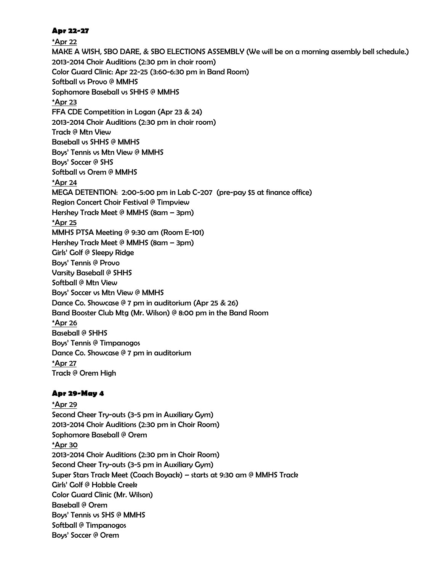## **Apr 22-27**

\*Apr 22 MAKE A WISH, SBO DARE, & SBO ELECTIONS ASSEMBLY (We will be on a morning assembly bell schedule.) 2013-2014 Choir Auditions (2:30 pm in choir room) Color Guard Clinic: Apr 22-25 (3:60-6:30 pm in Band Room) Softball vs Provo @ MMHS Sophomore Baseball vs SHHS @ MMHS \*Apr 23 FFA CDE Competition in Logan (Apr 23 & 24) 2013-2014 Choir Auditions (2:30 pm in choir room) Track @ Mtn View Baseball vs SHHS @ MMHS Boys' Tennis vs Mtn View @ MMHS Boys' Soccer @ SHS Softball vs Orem @ MMHS \*Apr 24 MEGA DETENTION: 2:00-5:00 pm in Lab C-207 (pre-pay \$5 at finance office) Region Concert Choir Festival @ Timpview Hershey Track Meet @ MMHS (8am – 3pm) \*Apr 25 MMHS PTSA Meeting @ 9:30 am (Room E-101) Hershey Track Meet @ MMHS (8am – 3pm) Girls' Golf @ Sleepy Ridge Boys' Tennis @ Provo Varsity Baseball @ SHHS Softball @ Mtn View Boys' Soccer vs Mtn View @ MMHS Dance Co. Showcase @ 7 pm in auditorium (Apr 25 & 26) Band Booster Club Mtg (Mr. Wilson) @ 8:00 pm in the Band Room \*Apr 26 Baseball @ SHHS Boys' Tennis @ Timpanogos Dance Co. Showcase @ 7 pm in auditorium \*Apr 27 Track @ Orem High

## **Apr 29-May 4**

\*Apr 29 Second Cheer Try-outs (3-5 pm in Auxiliary Gym) 2013-2014 Choir Auditions (2:30 pm in Choir Room) Sophomore Baseball @ Orem \*Apr 30 2013-2014 Choir Auditions (2:30 pm in Choir Room) Second Cheer Try-outs (3-5 pm in Auxiliary Gym) Super Stars Track Meet (Coach Boyack) – starts at 9:30 am @ MMHS Track Girls' Golf @ Hobble Creek Color Guard Clinic (Mr. Wilson) Baseball @ Orem Boys' Tennis vs SHS @ MMHS Softball @ Timpanogos Boys' Soccer @ Orem